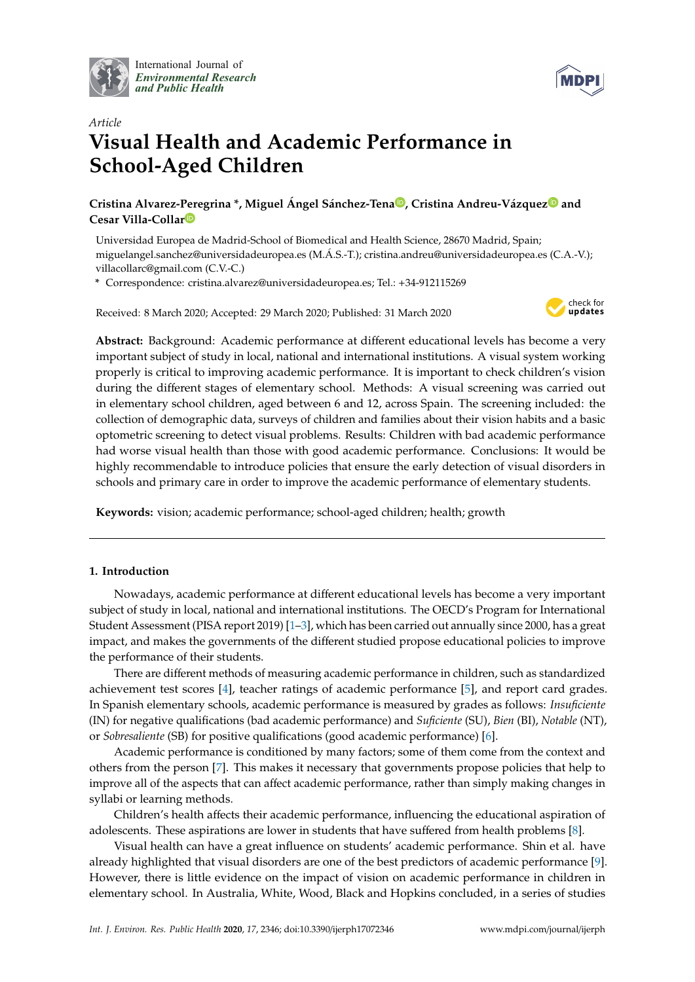

International Journal of *[Environmental Research](http://www.mdpi.com/journal/ijerph) and Public Health*



# *Article* **Visual Health and Academic Performance in School-Aged Children**

**Cristina Alvarez-Peregrina \*, Miguel Ángel Sánchez-Ten[a](https://orcid.org/0000-0002-2583-1789) , Cristina Andreu-Vázque[z](https://orcid.org/0000-0002-7558-4325) and Cesar Villa-Colla[r](https://orcid.org/0000-0002-6743-8264)**

Universidad Europea de Madrid-School of Biomedical and Health Science, 28670 Madrid, Spain; miguelangel.sanchez@universidadeuropea.es (M.Á.S.-T.); cristina.andreu@universidadeuropea.es (C.A.-V.); villacollarc@gmail.com (C.V.-C.)

**\*** Correspondence: cristina.alvarez@universidadeuropea.es; Tel.: +34-912115269

Received: 8 March 2020; Accepted: 29 March 2020; Published: 31 March 2020



**Abstract:** Background: Academic performance at different educational levels has become a very important subject of study in local, national and international institutions. A visual system working properly is critical to improving academic performance. It is important to check children's vision during the different stages of elementary school. Methods: A visual screening was carried out in elementary school children, aged between 6 and 12, across Spain. The screening included: the collection of demographic data, surveys of children and families about their vision habits and a basic optometric screening to detect visual problems. Results: Children with bad academic performance had worse visual health than those with good academic performance. Conclusions: It would be highly recommendable to introduce policies that ensure the early detection of visual disorders in schools and primary care in order to improve the academic performance of elementary students.

**Keywords:** vision; academic performance; school-aged children; health; growth

# **1. Introduction**

Nowadays, academic performance at different educational levels has become a very important subject of study in local, national and international institutions. The OECD's Program for International Student Assessment (PISA report 2019) [\[1](#page-6-0)[–3\]](#page-6-1), which has been carried out annually since 2000, has a great impact, and makes the governments of the different studied propose educational policies to improve the performance of their students.

There are different methods of measuring academic performance in children, such as standardized achievement test scores [\[4\]](#page-6-2), teacher ratings of academic performance [\[5\]](#page-6-3), and report card grades. In Spanish elementary schools, academic performance is measured by grades as follows: *Insuficiente* (IN) for negative qualifications (bad academic performance) and *Suficiente* (SU), *Bien* (BI), *Notable* (NT), or *Sobresaliente* (SB) for positive qualifications (good academic performance) [\[6\]](#page-6-4).

Academic performance is conditioned by many factors; some of them come from the context and others from the person [\[7\]](#page-6-5). This makes it necessary that governments propose policies that help to improve all of the aspects that can affect academic performance, rather than simply making changes in syllabi or learning methods.

Children's health affects their academic performance, influencing the educational aspiration of adolescents. These aspirations are lower in students that have suffered from health problems [\[8\]](#page-6-6).

Visual health can have a great influence on students' academic performance. Shin et al. have already highlighted that visual disorders are one of the best predictors of academic performance [\[9\]](#page-6-7). However, there is little evidence on the impact of vision on academic performance in children in elementary school. In Australia, White, Wood, Black and Hopkins concluded, in a series of studies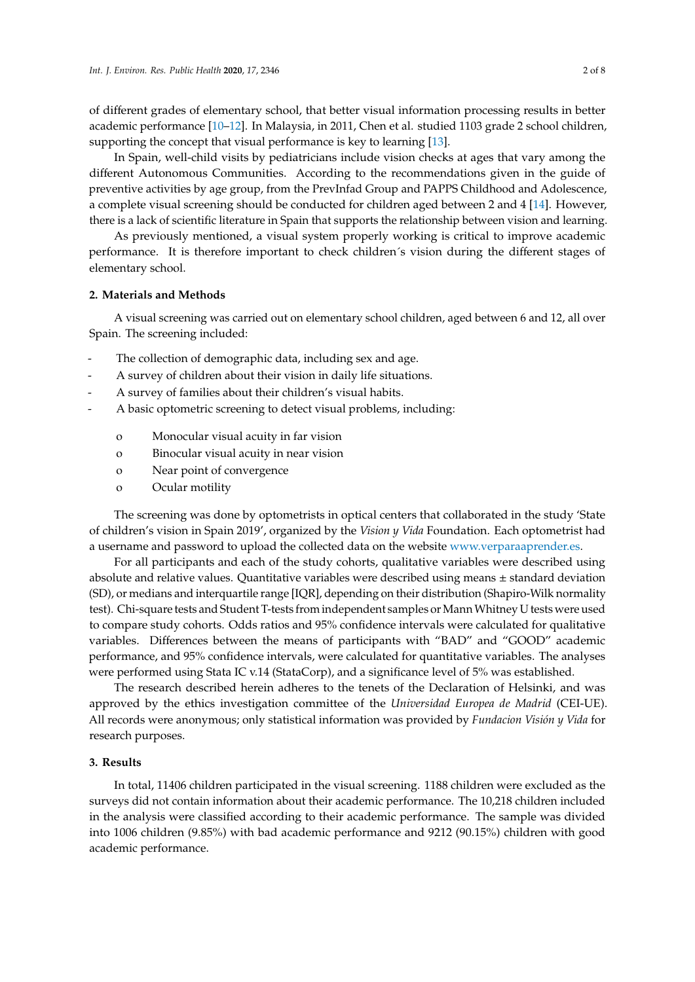of different grades of elementary school, that better visual information processing results in better academic performance [\[10–](#page-6-8)[12\]](#page-6-9). In Malaysia, in 2011, Chen et al. studied 1103 grade 2 school children, supporting the concept that visual performance is key to learning [\[13\]](#page-6-10).

In Spain, well-child visits by pediatricians include vision checks at ages that vary among the different Autonomous Communities. According to the recommendations given in the guide of preventive activities by age group, from the PrevInfad Group and PAPPS Childhood and Adolescence, a complete visual screening should be conducted for children aged between 2 and 4 [\[14\]](#page-7-0). However, there is a lack of scientific literature in Spain that supports the relationship between vision and learning.

As previously mentioned, a visual system properly working is critical to improve academic performance. It is therefore important to check children´s vision during the different stages of elementary school.

## **2. Materials and Methods**

A visual screening was carried out on elementary school children, aged between 6 and 12, all over Spain. The screening included:

- The collection of demographic data, including sex and age.
- A survey of children about their vision in daily life situations.
- A survey of families about their children's visual habits.
- A basic optometric screening to detect visual problems, including:
	- o Monocular visual acuity in far vision
	- o Binocular visual acuity in near vision
	- o Near point of convergence
	- o Ocular motility

The screening was done by optometrists in optical centers that collaborated in the study 'State of children's vision in Spain 2019', organized by the *Vision y Vida* Foundation. Each optometrist had a username and password to upload the collected data on the website [www.verparaaprender.es.](www.verparaaprender.es)

For all participants and each of the study cohorts, qualitative variables were described using absolute and relative values. Quantitative variables were described using means  $\pm$  standard deviation (SD), or medians and interquartile range [IQR], depending on their distribution (Shapiro-Wilk normality test). Chi-square tests and Student T-tests from independent samples or Mann Whitney U tests were used to compare study cohorts. Odds ratios and 95% confidence intervals were calculated for qualitative variables. Differences between the means of participants with "BAD" and "GOOD" academic performance, and 95% confidence intervals, were calculated for quantitative variables. The analyses were performed using Stata IC v.14 (StataCorp), and a significance level of 5% was established.

The research described herein adheres to the tenets of the Declaration of Helsinki, and was approved by the ethics investigation committee of the *Universidad Europea de Madrid* (CEI-UE). All records were anonymous; only statistical information was provided by *Fundacion Visión y Vida* for research purposes.

### **3. Results**

In total, 11406 children participated in the visual screening. 1188 children were excluded as the surveys did not contain information about their academic performance. The 10,218 children included in the analysis were classified according to their academic performance. The sample was divided into 1006 children (9.85%) with bad academic performance and 9212 (90.15%) children with good academic performance.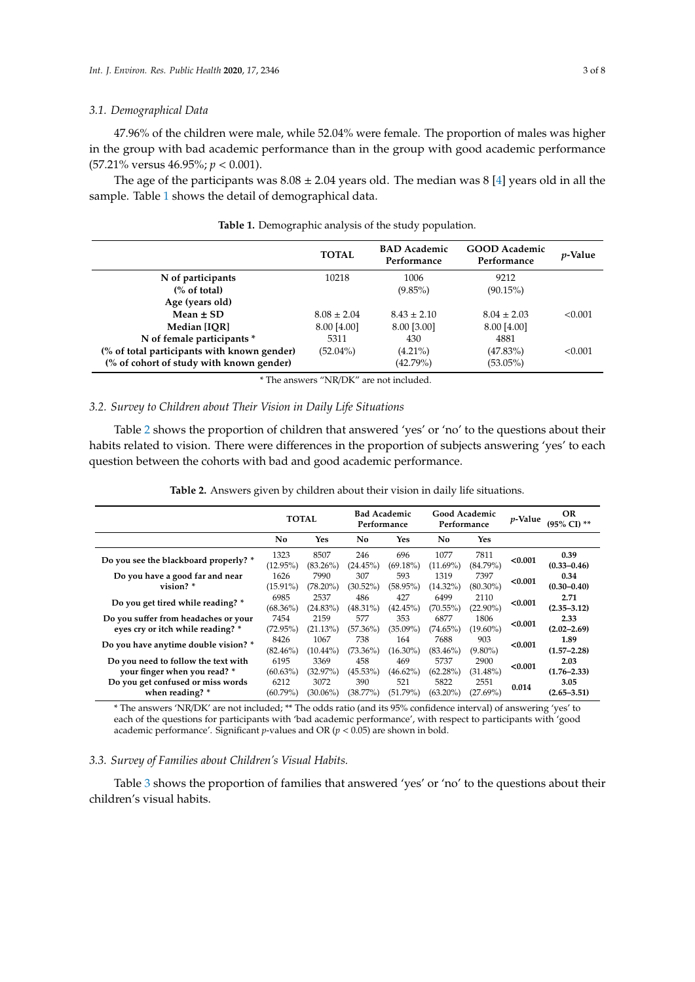#### *3.1. Demographical Data*

47.96% of the children were male, while 52.04% were female. The proportion of males was higher in the group with bad academic performance than in the group with good academic performance (57.21% versus 46.95%; *p* < 0.001).

The age of the participants was  $8.08 \pm 2.04$  years old. The median was  $8 \, [4]$  $8 \, [4]$  years old in all the sample. Table [1](#page-2-0) shows the detail of demographical data.

<span id="page-2-0"></span>

|                                             | <b>TOTAL</b>    | <b>BAD</b> Academic<br>Performance | <b>GOOD Academic</b><br>Performance | <i>p</i> -Value |
|---------------------------------------------|-----------------|------------------------------------|-------------------------------------|-----------------|
| N of participants                           | 10218           | 1006                               | 9212                                |                 |
| $\frac{6}{6}$ of total)                     |                 | $(9.85\%)$                         | $(90.15\%)$                         |                 |
| Age (years old)                             |                 |                                    |                                     |                 |
| Mean $\pm$ SD                               | $8.08 \pm 2.04$ | $8.43 \pm 2.10$                    | $8.04 \pm 2.03$                     | < 0.001         |
| Median [IOR]                                | 8.00 [4.00]     | 8.00 [3.00]                        | 8.00 [4.00]                         |                 |
| N of female participants *                  | 5311            | 430                                | 4881                                |                 |
| (% of total participants with known gender) | $(52.04\%)$     | $(4.21\%)$                         | $(47.83\%)$                         | < 0.001         |
| (% of cohort of study with known gender)    |                 | $(42.79\%)$                        | $(53.05\%)$                         |                 |
|                                             |                 |                                    |                                     |                 |

**Table 1.** Demographic analysis of the study population.

\* The answers "NR/DK" are not included.

# *3.2. Survey to Children about Their Vision in Daily Life Situations*

Table [2](#page-2-1) shows the proportion of children that answered 'yes' or 'no' to the questions about their habits related to vision. There were differences in the proportion of subjects answering 'yes' to each question between the cohorts with bad and good academic performance.

| Table 2. Answers given by children about their vision in daily life situations. |  |  |  |  |
|---------------------------------------------------------------------------------|--|--|--|--|
|---------------------------------------------------------------------------------|--|--|--|--|

<span id="page-2-1"></span>

|                                                                           | <b>TOTAL</b>        |                     | <b>Bad Academic</b><br>Performance |                    | Good Academic<br>Performance |                     | <i>v</i> -Value | <b>OR</b><br>(95% CI) ** |
|---------------------------------------------------------------------------|---------------------|---------------------|------------------------------------|--------------------|------------------------------|---------------------|-----------------|--------------------------|
|                                                                           | No<br>Yes           |                     | No.                                | Yes                | No                           | Yes                 |                 |                          |
| Do you see the blackboard properly? *                                     | 1323<br>(12.95%)    | 8507<br>$(83.26\%)$ | 246<br>(24.45%)                    | 696<br>$(69.18\%)$ | 1077<br>$(11.69\%)$          | 7811<br>$(84.79\%)$ | < 0.001         | 0.39<br>$(0.33 - 0.46)$  |
| Do you have a good far and near<br>vision? *                              | 1626<br>$(15.91\%)$ | 7990<br>$(78.20\%)$ | 307<br>$(30.52\%)$                 | 593<br>$(58.95\%)$ | 1319<br>$(14.32\%)$          | 7397<br>$(80.30\%)$ | < 0.001         | 0.34<br>$(0.30 - 0.40)$  |
| Do you get tired while reading? *                                         | 6985<br>$(68.36\%)$ | 2537<br>$(24.83\%)$ | 486<br>(48.31%)                    | 427<br>(42.45%)    | 6499<br>$(70.55\%)$          | 2110<br>$(22.90\%)$ | < 0.001         | 2.71<br>$(2.35 - 3.12)$  |
| Do you suffer from headaches or your<br>eves cry or itch while reading? * | 7454<br>$(72.95\%)$ | 2159<br>$(21.13\%)$ | 577<br>$(57.36\%)$                 | 353<br>$(35.09\%)$ | 6877<br>$(74.65\%)$          | 1806<br>$(19.60\%)$ | < 0.001         | 2.33<br>$(2.02 - 2.69)$  |
| 8426<br>Do you have anytime double vision? *<br>$(82.46\%)$               |                     | 1067<br>$(10.44\%)$ | 738<br>$(73.36\%)$                 | 164<br>$(16.30\%)$ | 7688<br>$(83.46\%)$          | 903<br>$(9.80\%)$   | < 0.001         | 1.89<br>$(1.57 - 2.28)$  |
| Do you need to follow the text with<br>your finger when you read? *       | 6195<br>$(60.63\%)$ | 3369<br>$(32.97\%)$ | 458<br>$(45.53\%)$                 | 469<br>$(46.62\%)$ | 5737<br>$(62.28\%)$          | 2900<br>$(31.48\%)$ | < 0.001         | 2.03<br>$(1.76 - 2.33)$  |
| Do you get confused or miss words<br>when reading? *                      | 6212<br>$(60.79\%)$ | 3072<br>$(30.06\%)$ | 390<br>$(38.77\%)$                 | 521<br>(51.79%)    | 5822<br>$(63.20\%)$          | 2551<br>$(27.69\%)$ | 0.014           | 3.05<br>$(2.65 - 3.51)$  |

\* The answers 'NR/DK' are not included; \*\* The odds ratio (and its 95% confidence interval) of answering 'yes' to each of the questions for participants with 'bad academic performance', with respect to participants with 'good academic performance'. Significant *p*-values and OR (*p* < 0.05) are shown in bold.

## *3.3. Survey of Families about Children's Visual Habits.*

Table [3](#page-3-0) shows the proportion of families that answered 'yes' or 'no' to the questions about their children's visual habits.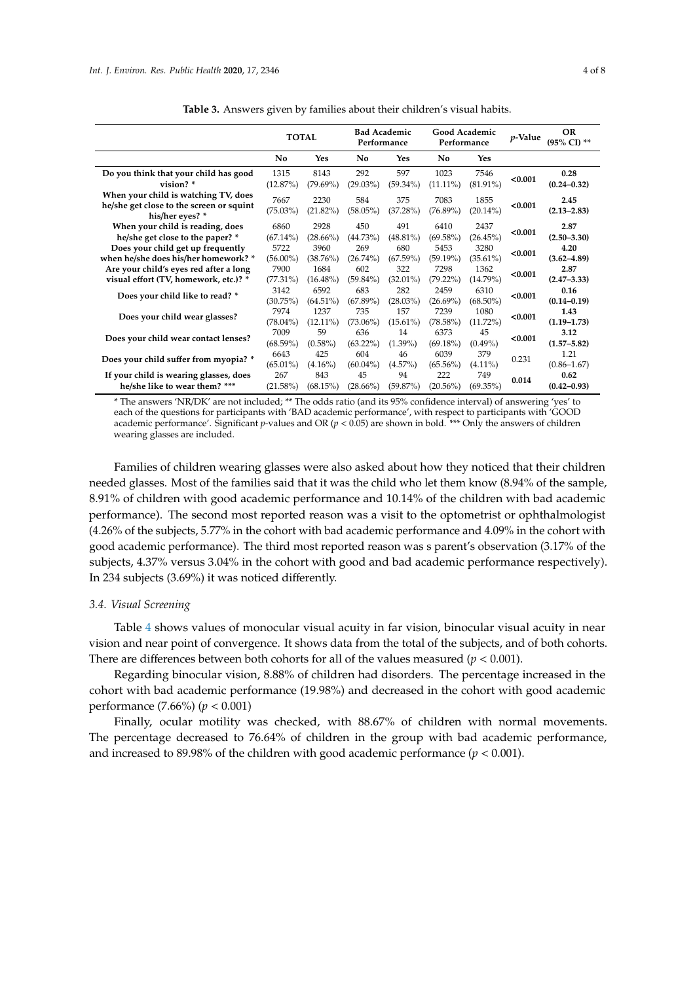<span id="page-3-0"></span>

|                                                                                                     | <b>TOTAL</b>                            |                     | <b>Bad Academic</b><br>Performance |                    | Good Academic<br>Performance |                     | <i>v</i> -Value | <b>OR</b><br>(95% CI) ** |
|-----------------------------------------------------------------------------------------------------|-----------------------------------------|---------------------|------------------------------------|--------------------|------------------------------|---------------------|-----------------|--------------------------|
|                                                                                                     | No<br>Yes                               |                     | No                                 | Yes                | No                           | <b>Yes</b>          |                 |                          |
| Do you think that your child has good<br>vision? $*$                                                | 1315<br>$(12.87\%)$                     | 8143<br>$(79.69\%)$ | 292<br>$(29.03\%)$                 | 597<br>$(59.34\%)$ | 1023<br>$(11.11\%)$          | 7546<br>$(81.91\%)$ | < 0.001         | 0.28<br>$(0.24 - 0.32)$  |
| When your child is watching TV, does<br>he/she get close to the screen or squint<br>his/her eyes? * | 7667<br>$(75.03\%)$                     | 2230<br>$(21.82\%)$ | 584<br>$(58.05\%)$                 | 375<br>(37.28%)    | 7083<br>$(76.89\%)$          | 1855<br>$(20.14\%)$ | < 0.001         | 2.45<br>$(2.13 - 2.83)$  |
| When your child is reading, does<br>he/she get close to the paper? *                                | 6860<br>$(67.14\%)$                     | 2928<br>$(28.66\%)$ | 450<br>$(44.73\%)$                 | 491<br>$(48.81\%)$ | 6410<br>$(69.58\%)$          | 2437<br>(26.45%)    | < 0.001         | 2.87<br>$(2.50 - 3.30)$  |
| Does your child get up frequently<br>when he/she does his/her homework? *                           | 5722<br>$(56.00\%)$                     | 3960<br>$(38.76\%)$ | 269<br>$(26.74\%)$                 | 680<br>$(67.59\%)$ | 5453<br>$(59.19\%)$          | 3280<br>$(35.61\%)$ | < 0.001         | 4.20<br>$(3.62 - 4.89)$  |
| Are your child's eyes red after a long<br>visual effort (TV, homework, etc.)? *                     | 7900<br>$(77.31\%)$                     | 1684<br>$(16.48\%)$ | 602<br>$(59.84\%)$                 | 322<br>$(32.01\%)$ | 7298<br>$(79.22\%)$          | 1362<br>$(14.79\%)$ | < 0.001         | 2.87<br>$(2.47 - 3.33)$  |
| Does your child like to read? *                                                                     | 3142<br>(30.75%)                        | 6592<br>$(64.51\%)$ | 683<br>$(67.89\%)$                 | 282<br>$(28.03\%)$ | 2459<br>$(26.69\%)$          | 6310<br>$(68.50\%)$ | < 0.001         | 0.16<br>$(0.14 - 0.19)$  |
| Does your child wear glasses?                                                                       | 7974<br>$(78.04\%)$                     | 1237<br>$(12.11\%)$ | 735<br>$(73.06\%)$                 | 157<br>$(15.61\%)$ | 7239<br>$(78.58\%)$          | 1080<br>$(11.72\%)$ | < 0.001         | 1.43<br>$(1.19 - 1.73)$  |
| Does your child wear contact lenses?                                                                | 7009<br>59<br>$(68.59\%)$<br>$(0.58\%)$ |                     | 636<br>$(63.22\%)$                 | 14<br>$(1.39\%)$   | 6373<br>$(69.18\%)$          | 45<br>$(0.49\%)$    | < 0.001         | 3.12<br>$(1.57 - 5.82)$  |
| Does your child suffer from myopia? *                                                               | 6643<br>$(65.01\%)$                     | 425<br>$(4.16\%)$   | 604<br>$(60.04\%)$                 | 46<br>$(4.57\%)$   | 6039<br>$(65.56\%)$          | 379<br>$(4.11\%)$   | 0.231           | 1.21<br>$(0.86 - 1.67)$  |
| If your child is wearing glasses, does<br>he/she like to wear them? ***                             | 267<br>$(21.58\%)$                      | 843<br>(68.15%)     | 45<br>$(28.66\%)$                  | 94<br>$(59.87\%)$  | 222<br>$(20.56\%)$           | 749<br>$(69.35\%)$  | 0.014           | 0.62<br>$(0.42 - 0.93)$  |

**Table 3.** Answers given by families about their children's visual habits.

\* The answers 'NR/DK' are not included; \*\* The odds ratio (and its 95% confidence interval) of answering 'yes' to each of the questions for participants with 'BAD academic performance', with respect to participants with 'GOOD academic performance'. Significant *p*-values and OR (*p* < 0.05) are shown in bold. \*\*\* Only the answers of children wearing glasses are included.

Families of children wearing glasses were also asked about how they noticed that their children needed glasses. Most of the families said that it was the child who let them know (8.94% of the sample, 8.91% of children with good academic performance and 10.14% of the children with bad academic performance). The second most reported reason was a visit to the optometrist or ophthalmologist (4.26% of the subjects, 5.77% in the cohort with bad academic performance and 4.09% in the cohort with good academic performance). The third most reported reason was s parent's observation (3.17% of the subjects, 4.37% versus 3.04% in the cohort with good and bad academic performance respectively). In 234 subjects (3.69%) it was noticed differently.

### *3.4. Visual Screening*

Table [4](#page-4-0) shows values of monocular visual acuity in far vision, binocular visual acuity in near vision and near point of convergence. It shows data from the total of the subjects, and of both cohorts. There are differences between both cohorts for all of the values measured ( $p < 0.001$ ).

Regarding binocular vision, 8.88% of children had disorders. The percentage increased in the cohort with bad academic performance (19.98%) and decreased in the cohort with good academic performance (7.66%) (*p* < 0.001)

Finally, ocular motility was checked, with 88.67% of children with normal movements. The percentage decreased to 76.64% of children in the group with bad academic performance, and increased to 89.98% of the children with good academic performance  $(p < 0.001)$ .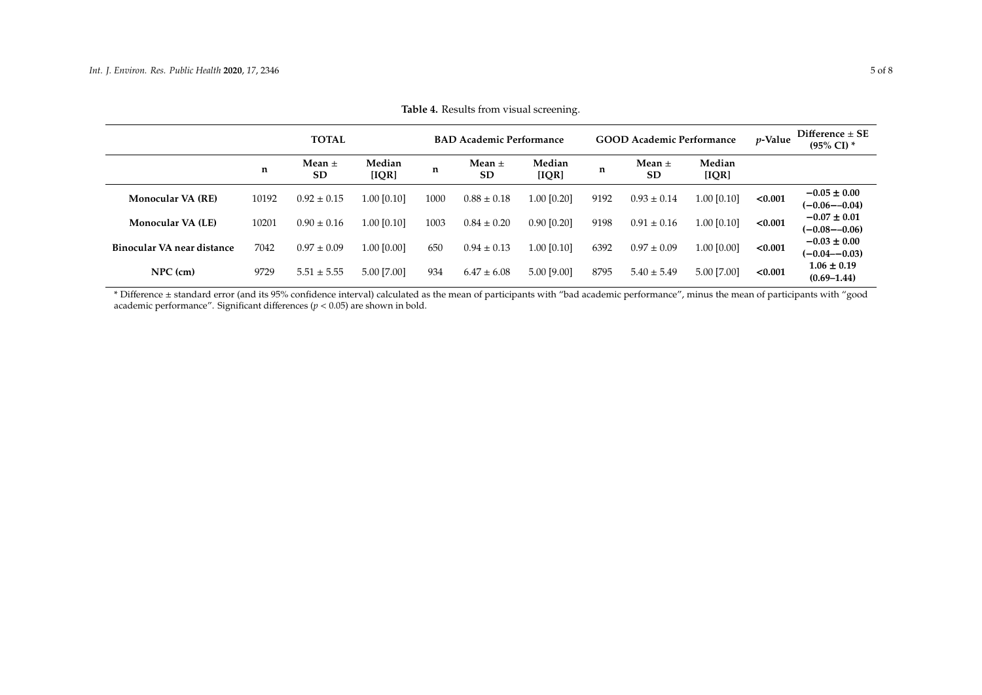|                            |       | <b>TOTAL</b>            | <b>BAD Academic Performance</b> |      |                         |                 | <b>GOOD Academic Performance</b> |                         |                 |         | Difference $\pm$ SE<br>$(95\% \text{ CI})$ * |
|----------------------------|-------|-------------------------|---------------------------------|------|-------------------------|-----------------|----------------------------------|-------------------------|-----------------|---------|----------------------------------------------|
|                            | n     | Mean $\pm$<br><b>SD</b> | Median<br>[IOR]                 | n    | Mean $\pm$<br><b>SD</b> | Median<br>[IOR] | n                                | Mean $\pm$<br><b>SD</b> | Median<br>[IQR] |         |                                              |
| <b>Monocular VA (RE)</b>   | 10192 | $0.92 \pm 0.15$         | $1.00$ [0.10]                   | 1000 | $0.88 \pm 0.18$         | 1.00 [0.20]     | 9192                             | $0.93 \pm 0.14$         | 1.00 [0.10]     | < 0.001 | $-0.05 \pm 0.00$<br>$(-0.06 - -0.04)$        |
| <b>Monocular VA (LE)</b>   | 10201 | $0.90 \pm 0.16$         | 1.00 [0.10]                     | 1003 | $0.84 \pm 0.20$         | $0.90$ [0.20]   | 9198                             | $0.91 \pm 0.16$         | 1.00 [0.10]     | < 0.001 | $-0.07 \pm 0.01$<br>$(-0.08 - -0.06)$        |
| Binocular VA near distance | 7042  | $0.97 \pm 0.09$         | 1.00 [0.00]                     | 650  | $0.94 \pm 0.13$         | 1.00 [0.10]     | 6392                             | $0.97 \pm 0.09$         | 1.00 [0.00]     | < 0.001 | $-0.03 \pm 0.00$<br>$(-0.04 - 0.03)$         |
| $NPC$ (cm)                 | 9729  | $5.51 \pm 5.55$         | 5.00 [7.00]                     | 934  | $6.47 \pm 6.08$         | $5.00$ [9.00]   | 8795                             | $5.40 \pm 5.49$         | 5.00 [7.00]     | < 0.001 | $1.06 \pm 0.19$<br>$(0.69 - 1.44)$           |

**Table 4.** Results from visual screening.

<span id="page-4-0"></span>\* Difference ± standard error (and its 95% confidence interval) calculated as the mean of participants with "bad academic performance", minus the mean of participants with "good academic performance". Significant differences ( $p < 0.05$ ) are shown in bold.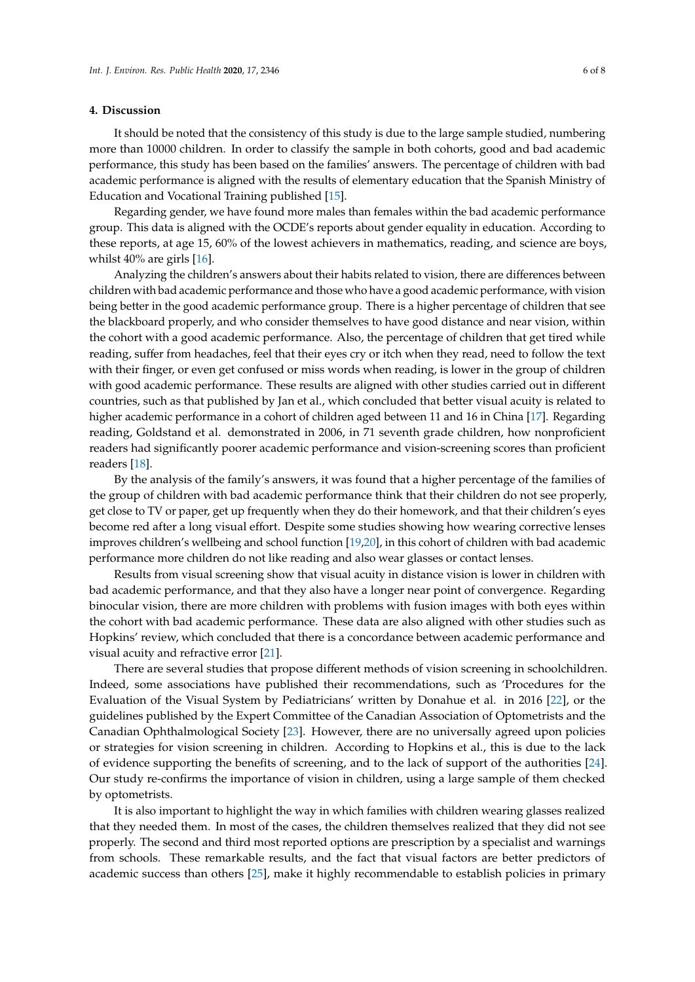## **4. Discussion**

It should be noted that the consistency of this study is due to the large sample studied, numbering more than 10000 children. In order to classify the sample in both cohorts, good and bad academic performance, this study has been based on the families' answers. The percentage of children with bad academic performance is aligned with the results of elementary education that the Spanish Ministry of Education and Vocational Training published [\[15\]](#page-7-1).

Regarding gender, we have found more males than females within the bad academic performance group. This data is aligned with the OCDE's reports about gender equality in education. According to these reports, at age 15, 60% of the lowest achievers in mathematics, reading, and science are boys, whilst 40% are girls [\[16\]](#page-7-2).

Analyzing the children's answers about their habits related to vision, there are differences between children with bad academic performance and those who have a good academic performance, with vision being better in the good academic performance group. There is a higher percentage of children that see the blackboard properly, and who consider themselves to have good distance and near vision, within the cohort with a good academic performance. Also, the percentage of children that get tired while reading, suffer from headaches, feel that their eyes cry or itch when they read, need to follow the text with their finger, or even get confused or miss words when reading, is lower in the group of children with good academic performance. These results are aligned with other studies carried out in different countries, such as that published by Jan et al., which concluded that better visual acuity is related to higher academic performance in a cohort of children aged between 11 and 16 in China [\[17\]](#page-7-3). Regarding reading, Goldstand et al. demonstrated in 2006, in 71 seventh grade children, how nonproficient readers had significantly poorer academic performance and vision-screening scores than proficient readers [\[18\]](#page-7-4).

By the analysis of the family's answers, it was found that a higher percentage of the families of the group of children with bad academic performance think that their children do not see properly, get close to TV or paper, get up frequently when they do their homework, and that their children's eyes become red after a long visual effort. Despite some studies showing how wearing corrective lenses improves children's wellbeing and school function [\[19](#page-7-5)[,20\]](#page-7-6), in this cohort of children with bad academic performance more children do not like reading and also wear glasses or contact lenses.

Results from visual screening show that visual acuity in distance vision is lower in children with bad academic performance, and that they also have a longer near point of convergence. Regarding binocular vision, there are more children with problems with fusion images with both eyes within the cohort with bad academic performance. These data are also aligned with other studies such as Hopkins' review, which concluded that there is a concordance between academic performance and visual acuity and refractive error [\[21\]](#page-7-7).

There are several studies that propose different methods of vision screening in schoolchildren. Indeed, some associations have published their recommendations, such as 'Procedures for the Evaluation of the Visual System by Pediatricians' written by Donahue et al. in 2016 [\[22\]](#page-7-8), or the guidelines published by the Expert Committee of the Canadian Association of Optometrists and the Canadian Ophthalmological Society [\[23\]](#page-7-9). However, there are no universally agreed upon policies or strategies for vision screening in children. According to Hopkins et al., this is due to the lack of evidence supporting the benefits of screening, and to the lack of support of the authorities [\[24\]](#page-7-10). Our study re-confirms the importance of vision in children, using a large sample of them checked by optometrists.

It is also important to highlight the way in which families with children wearing glasses realized that they needed them. In most of the cases, the children themselves realized that they did not see properly. The second and third most reported options are prescription by a specialist and warnings from schools. These remarkable results, and the fact that visual factors are better predictors of academic success than others [\[25\]](#page-7-11), make it highly recommendable to establish policies in primary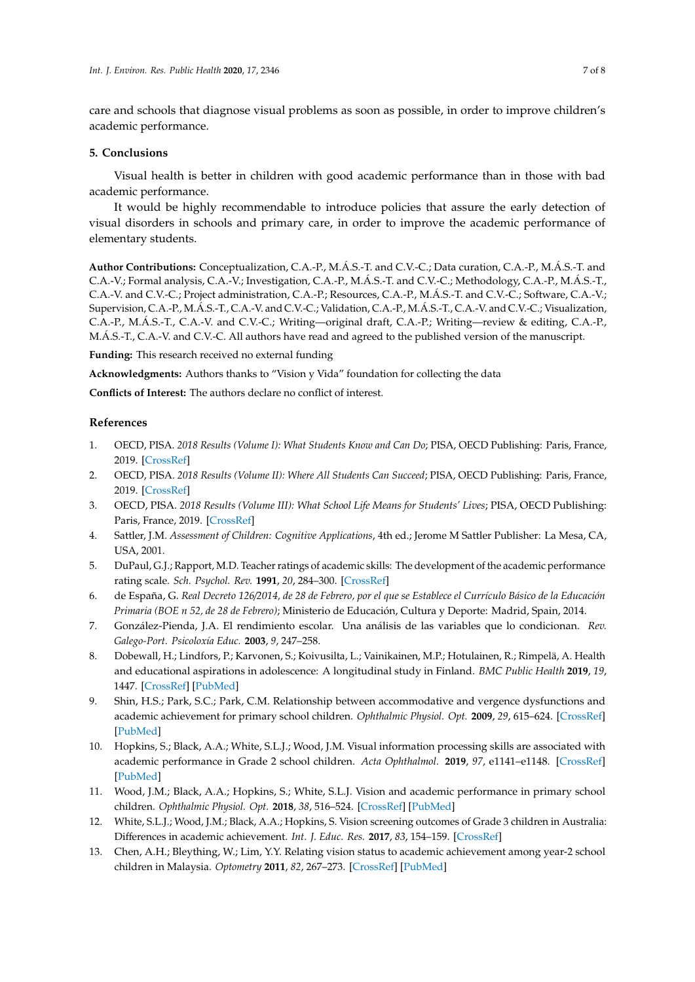care and schools that diagnose visual problems as soon as possible, in order to improve children's academic performance.

## **5. Conclusions**

Visual health is better in children with good academic performance than in those with bad academic performance.

It would be highly recommendable to introduce policies that assure the early detection of visual disorders in schools and primary care, in order to improve the academic performance of elementary students.

**Author Contributions:** Conceptualization, C.A.-P., M.Á.S.-T. and C.V.-C.; Data curation, C.A.-P., M.Á.S.-T. and C.A.-V.; Formal analysis, C.A.-V.; Investigation, C.A.-P., M.Á.S.-T. and C.V.-C.; Methodology, C.A.-P., M.Á.S.-T., C.A.-V. and C.V.-C.; Project administration, C.A.-P.; Resources, C.A.-P., M.Á.S.-T. and C.V.-C.; Software, C.A.-V.; Supervision, C.A.-P., M.Á.S.-T., C.A.-V. and C.V.-C.; Validation, C.A.-P., M.Á.S.-T., C.A.-V. and C.V.-C.; Visualization, C.A.-P., M.Á.S.-T., C.A.-V. and C.V.-C.; Writing—original draft, C.A.-P.; Writing—review & editing, C.A.-P., M.Á.S.-T., C.A.-V. and C.V.-C. All authors have read and agreed to the published version of the manuscript.

**Funding:** This research received no external funding

**Acknowledgments:** Authors thanks to "Vision y Vida" foundation for collecting the data

**Conflicts of Interest:** The authors declare no conflict of interest.

## **References**

- <span id="page-6-0"></span>1. OECD, PISA. *2018 Results (Volume I): What Students Know and Can Do*; PISA, OECD Publishing: Paris, France, 2019. [\[CrossRef\]](http://dx.doi.org/10.1787/5f07c754-en)
- 2. OECD, PISA. *2018 Results (Volume II): Where All Students Can Succeed*; PISA, OECD Publishing: Paris, France, 2019. [\[CrossRef\]](http://dx.doi.org/10.1787/b5fd1b8f-en)
- <span id="page-6-1"></span>3. OECD, PISA. *2018 Results (Volume III): What School Life Means for Students' Lives*; PISA, OECD Publishing: Paris, France, 2019. [\[CrossRef\]](http://dx.doi.org/10.1787/acd78851-en)
- <span id="page-6-2"></span>4. Sattler, J.M. *Assessment of Children: Cognitive Applications*, 4th ed.; Jerome M Sattler Publisher: La Mesa, CA, USA, 2001.
- <span id="page-6-3"></span>5. DuPaul, G.J.; Rapport, M.D. Teacher ratings of academic skills: The development of the academic performance rating scale. *Sch. Psychol. Rev.* **1991**, *20*, 284–300. [\[CrossRef\]](http://dx.doi.org/10.1080/02796015.1991.12085552)
- <span id="page-6-4"></span>6. de España, G. *Real Decreto 126*/*2014, de 28 de Febrero, por el que se Establece el Currículo Básico de la Educación Primaria (BOE n 52, de 28 de Febrero)*; Ministerio de Educación, Cultura y Deporte: Madrid, Spain, 2014.
- <span id="page-6-5"></span>7. González-Pienda, J.A. El rendimiento escolar. Una análisis de las variables que lo condicionan. *Rev. Galego-Port. Psicoloxía Educ.* **2003**, *9*, 247–258.
- <span id="page-6-6"></span>8. Dobewall, H.; Lindfors, P.; Karvonen, S.; Koivusilta, L.; Vainikainen, M.P.; Hotulainen, R.; Rimpelä, A. Health and educational aspirations in adolescence: A longitudinal study in Finland. *BMC Public Health* **2019**, *19*, 1447. [\[CrossRef\]](http://dx.doi.org/10.1186/s12889-019-7824-8) [\[PubMed\]](http://www.ncbi.nlm.nih.gov/pubmed/31684937)
- <span id="page-6-7"></span>9. Shin, H.S.; Park, S.C.; Park, C.M. Relationship between accommodative and vergence dysfunctions and academic achievement for primary school children. *Ophthalmic Physiol. Opt.* **2009**, *29*, 615–624. [\[CrossRef\]](http://dx.doi.org/10.1111/j.1475-1313.2009.00684.x) [\[PubMed\]](http://www.ncbi.nlm.nih.gov/pubmed/19709375)
- <span id="page-6-8"></span>10. Hopkins, S.; Black, A.A.; White, S.L.J.; Wood, J.M. Visual information processing skills are associated with academic performance in Grade 2 school children. *Acta Ophthalmol.* **2019**, *97*, e1141–e1148. [\[CrossRef\]](http://dx.doi.org/10.1111/aos.14172) [\[PubMed\]](http://www.ncbi.nlm.nih.gov/pubmed/31228337)
- 11. Wood, J.M.; Black, A.A.; Hopkins, S.; White, S.L.J. Vision and academic performance in primary school children. *Ophthalmic Physiol. Opt.* **2018**, *38*, 516–524. [\[CrossRef\]](http://dx.doi.org/10.1111/opo.12582) [\[PubMed\]](http://www.ncbi.nlm.nih.gov/pubmed/30221376)
- <span id="page-6-9"></span>12. White, S.L.J.; Wood, J.M.; Black, A.A.; Hopkins, S. Vision screening outcomes of Grade 3 children in Australia: Differences in academic achievement. *Int. J. Educ. Res.* **2017**, *83*, 154–159. [\[CrossRef\]](http://dx.doi.org/10.1016/j.ijer.2017.03.004)
- <span id="page-6-10"></span>13. Chen, A.H.; Bleything, W.; Lim, Y.Y. Relating vision status to academic achievement among year-2 school children in Malaysia. *Optometry* **2011**, *82*, 267–273. [\[CrossRef\]](http://dx.doi.org/10.1016/j.optm.2011.02.004) [\[PubMed\]](http://www.ncbi.nlm.nih.gov/pubmed/21524597)